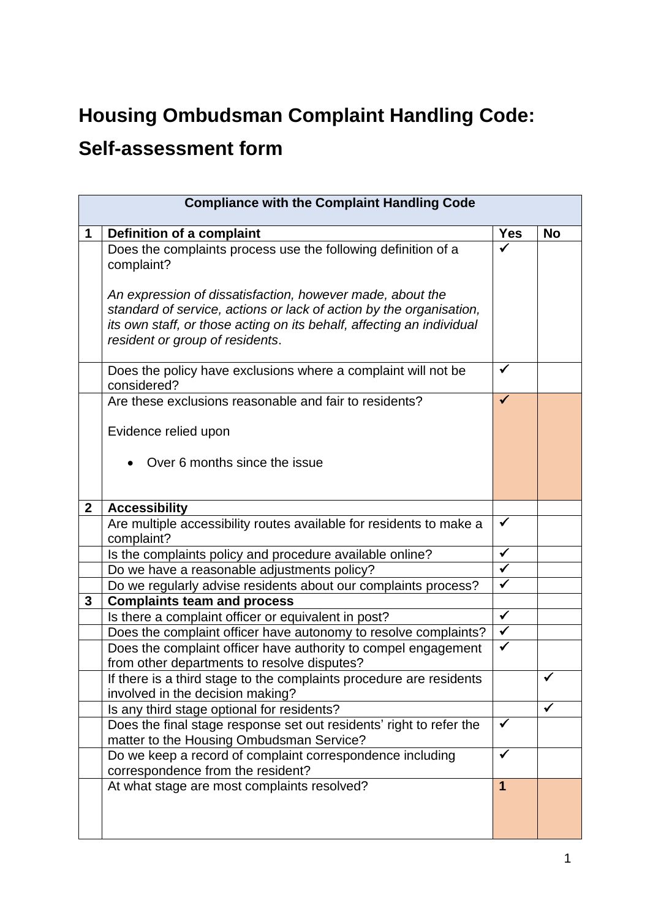## **Housing Ombudsman Complaint Handling Code:**

## **Self-assessment form**

| <b>Compliance with the Complaint Handling Code</b> |                                                                                                                                                                                                                                              |              |           |  |  |
|----------------------------------------------------|----------------------------------------------------------------------------------------------------------------------------------------------------------------------------------------------------------------------------------------------|--------------|-----------|--|--|
| 1                                                  | Definition of a complaint                                                                                                                                                                                                                    | <b>Yes</b>   | <b>No</b> |  |  |
|                                                    | Does the complaints process use the following definition of a<br>complaint?                                                                                                                                                                  | ✓            |           |  |  |
|                                                    | An expression of dissatisfaction, however made, about the<br>standard of service, actions or lack of action by the organisation,<br>its own staff, or those acting on its behalf, affecting an individual<br>resident or group of residents. |              |           |  |  |
|                                                    | Does the policy have exclusions where a complaint will not be<br>considered?                                                                                                                                                                 | ✓            |           |  |  |
|                                                    | Are these exclusions reasonable and fair to residents?                                                                                                                                                                                       | $\checkmark$ |           |  |  |
|                                                    | Evidence relied upon                                                                                                                                                                                                                         |              |           |  |  |
|                                                    | Over 6 months since the issue                                                                                                                                                                                                                |              |           |  |  |
| $\mathbf{2}$                                       | <b>Accessibility</b>                                                                                                                                                                                                                         |              |           |  |  |
|                                                    | Are multiple accessibility routes available for residents to make a<br>complaint?                                                                                                                                                            | $\checkmark$ |           |  |  |
|                                                    | Is the complaints policy and procedure available online?                                                                                                                                                                                     | $\checkmark$ |           |  |  |
|                                                    | Do we have a reasonable adjustments policy?                                                                                                                                                                                                  | $\checkmark$ |           |  |  |
|                                                    | Do we regularly advise residents about our complaints process?                                                                                                                                                                               | $\checkmark$ |           |  |  |
| 3                                                  | <b>Complaints team and process</b>                                                                                                                                                                                                           |              |           |  |  |
|                                                    | Is there a complaint officer or equivalent in post?                                                                                                                                                                                          | $\checkmark$ |           |  |  |
|                                                    | Does the complaint officer have autonomy to resolve complaints?                                                                                                                                                                              | $\checkmark$ |           |  |  |
|                                                    | Does the complaint officer have authority to compel engagement<br>from other departments to resolve disputes?                                                                                                                                | ✓            |           |  |  |
|                                                    | If there is a third stage to the complaints procedure are residents<br>involved in the decision making?                                                                                                                                      |              |           |  |  |
|                                                    | Is any third stage optional for residents?                                                                                                                                                                                                   |              |           |  |  |
|                                                    | Does the final stage response set out residents' right to refer the<br>matter to the Housing Ombudsman Service?                                                                                                                              | ✔            |           |  |  |
|                                                    | Do we keep a record of complaint correspondence including<br>correspondence from the resident?                                                                                                                                               | $\checkmark$ |           |  |  |
|                                                    | At what stage are most complaints resolved?                                                                                                                                                                                                  | $\mathbf 1$  |           |  |  |
|                                                    |                                                                                                                                                                                                                                              |              |           |  |  |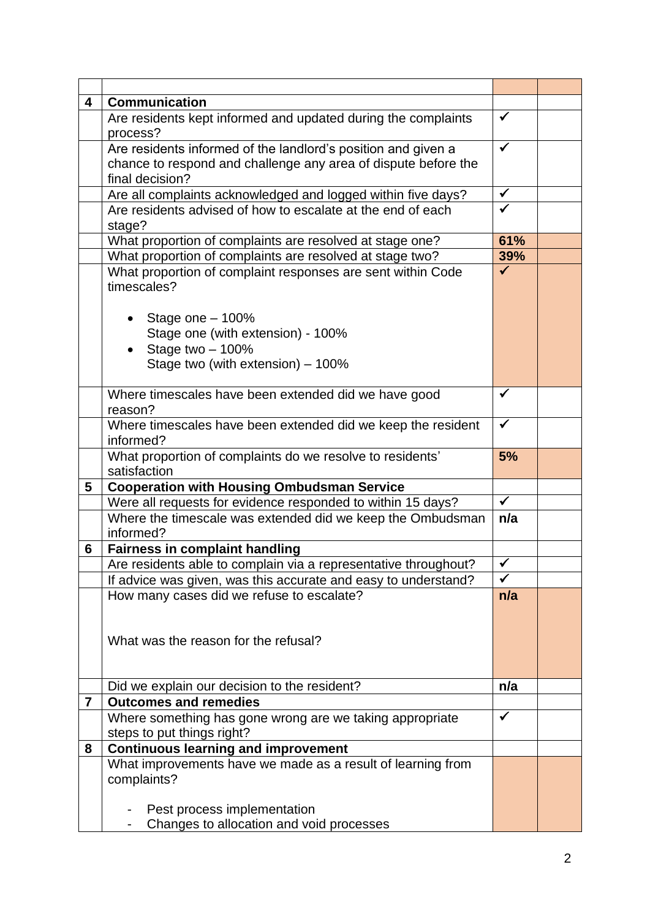| 4              | <b>Communication</b>                                                                                                                               |              |  |
|----------------|----------------------------------------------------------------------------------------------------------------------------------------------------|--------------|--|
|                | Are residents kept informed and updated during the complaints<br>process?                                                                          | $\checkmark$ |  |
|                | Are residents informed of the landlord's position and given a<br>chance to respond and challenge any area of dispute before the<br>final decision? | $\checkmark$ |  |
|                | Are all complaints acknowledged and logged within five days?                                                                                       | $\checkmark$ |  |
|                | Are residents advised of how to escalate at the end of each<br>stage?                                                                              | $\checkmark$ |  |
|                | What proportion of complaints are resolved at stage one?                                                                                           | 61%          |  |
|                | What proportion of complaints are resolved at stage two?                                                                                           | 39%          |  |
|                | What proportion of complaint responses are sent within Code<br>timescales?                                                                         | $\checkmark$ |  |
|                | Stage one $-100\%$<br>Stage one (with extension) - 100%<br>Stage two $-100\%$<br>Stage two (with extension) - 100%                                 |              |  |
|                |                                                                                                                                                    |              |  |
|                | Where timescales have been extended did we have good<br>reason?                                                                                    | ✓            |  |
|                | Where timescales have been extended did we keep the resident<br>informed?                                                                          | $\checkmark$ |  |
|                | What proportion of complaints do we resolve to residents'<br>satisfaction                                                                          | 5%           |  |
| 5              | <b>Cooperation with Housing Ombudsman Service</b>                                                                                                  |              |  |
|                | Were all requests for evidence responded to within 15 days?                                                                                        | $\checkmark$ |  |
|                | Where the timescale was extended did we keep the Ombudsman<br>informed?                                                                            | n/a          |  |
| 6              | <b>Fairness in complaint handling</b>                                                                                                              |              |  |
|                | Are residents able to complain via a representative throughout?                                                                                    | ✓            |  |
|                | If advice was given, was this accurate and easy to understand?                                                                                     | $\checkmark$ |  |
|                | How many cases did we refuse to escalate?<br>What was the reason for the refusal?                                                                  | n/a          |  |
|                | Did we explain our decision to the resident?                                                                                                       | n/a          |  |
| $\overline{7}$ | <b>Outcomes and remedies</b>                                                                                                                       |              |  |
|                | Where something has gone wrong are we taking appropriate<br>steps to put things right?                                                             | ✔            |  |
| 8              | <b>Continuous learning and improvement</b>                                                                                                         |              |  |
|                | What improvements have we made as a result of learning from<br>complaints?                                                                         |              |  |
|                | Pest process implementation<br>Changes to allocation and void processes                                                                            |              |  |